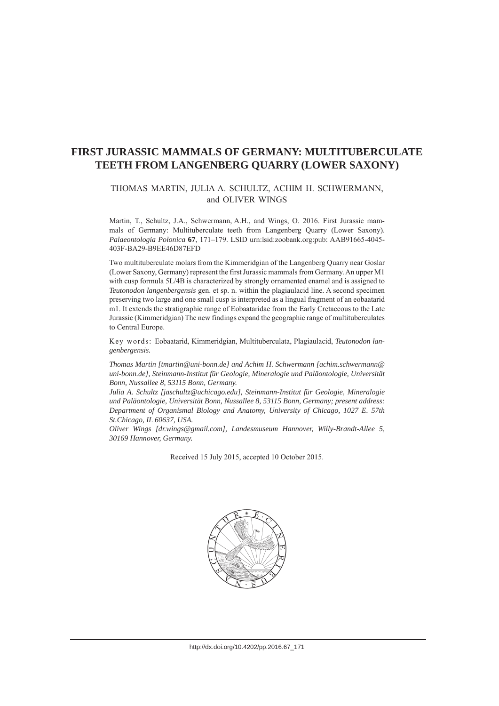# **FIRST JURASSIC MAMMALS OF GERMANY: MULTITUBERCULATE TEETH FROM LANGENBERG QUARRY (LOWER SAXONY)**

#### THOMAS MARTIN, JULIA A. SCHULTZ, ACHIM H. SCHWERMANN, and OLIVER WINGS

Martin, T., Schultz, J.A., Schwermann, A.H., and Wings, O. 2016. First Jurassic mammals of Germany: Multituberculate teeth from Langenberg Quarry (Lower Saxony). *Palaeontologia Polonica* **67**, 171–179. LSID urn:lsid:zoobank.org:pub: AAB91665-4045- 403F-BA29-B9EE46D87EFD

Two multituberculate molars from the Kimmeridgian of the Langenberg Quarry near Goslar (Lower Saxony, Germany) represent the first Jurassic mammals from Germany. An upper M1 with cusp formula 5L/4B is characterized by strongly ornamented enamel and is assigned to *Teutonodon langenbergensis* gen. et sp. n. within the plagiaulacid line. A second specimen preserving two large and one small cusp is interpreted as a lingual fragment of an eobaatarid m1. It extends the stratigraphic range of Eobaataridae from the Early Cretaceous to the Late Jurassic (Kimmeridgian) The new findings expand the geographic range of multituberculates to Central Europe.

Key words: Eobaatarid, Kimmeridgian, Multituberculata, Plagiaulacid, *Teutonodon langenbergensis.*

*Thomas Martin [tmartin@uni-bonn.de] and Achim H. Schwermann [achim.schwermann@ uni-bonn.de], Steinmann-Institut für Geologie, Mineralogie und Paläontologie, Universität Bonn, Nussallee 8, 53115 Bonn, Germany.*

*Julia A. Schultz [jaschultz@uchicago.edu], Steinmann-Institut für Geologie, Mineralogie und Paläontologie, Universität Bonn, Nussallee 8, 53115 Bonn, Germany; present address: Department of Organismal Biology and Anatomy, University of Chicago, 1027 E. 57th St.Chicago, IL 60637, USA.*

*Oliver Wings [dr.wings@gmail.com], Landesmuseum Hannover, Willy-Brandt-Allee 5, 30169 Hannover, Germany.*

Received 15 July 2015, accepted 10 October 2015.

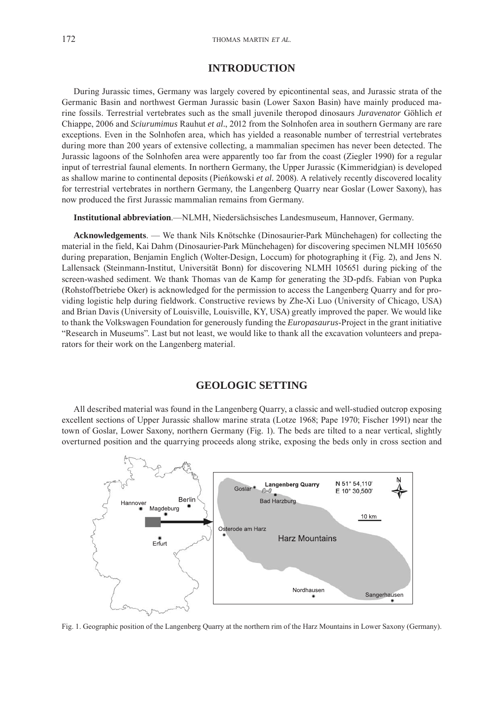#### **INTRODUCTION**

During Jurassic times, Germany was largely covered by epicontinental seas, and Jurassic strata of the Germanic Basin and northwest German Jurassic basin (Lower Saxon Basin) have mainly produced marine fossils. Terrestrial vertebrates such as the small juvenile theropod dinosaurs *Juravenator* Göhlich *et* Chiappe, 2006 and *Sciurumimus* Rauhut *et al.*, 2012 from the Solnhofen area in southern Germany are rare exceptions. Even in the Solnhofen area, which has yielded a reasonable number of terrestrial vertebrates during more than 200 years of extensive collecting, a mammalian specimen has never been detected. The Jurassic lagoons of the Solnhofen area were apparently too far from the coast (Ziegler 1990) for a regular input of terrestrial faunal elements. In northern Germany, the Upper Jurassic (Kimmeridgian) is developed as shallow marine to continental deposits (Pieńkowski *et al.* 2008). A relatively recently discovered locality for terrestrial vertebrates in northern Germany, the Langenberg Quarry near Goslar (Lower Saxony), has now produced the first Jurassic mammalian remains from Germany.

**Institutional abbreviation**.—NLMH, Niedersächsisches Landesmuseum, Hannover, Germany.

**Acknowledgements**. — We thank Nils Knötschke (Dinosaurier-Park Münchehagen) for collecting the material in the field, Kai Dahm (Dinosaurier-Park Münchehagen) for discovering specimen NLMH 105650 during preparation, Benjamin Englich (Wolter-Design, Loccum) for photographing it (Fig. 2), and Jens N. Lallensack (Steinmann-Institut, Universität Bonn) for discovering NLMH 105651 during picking of the screen-washed sediment. We thank Thomas van de Kamp for generating the 3D-pdfs. Fabian von Pupka (Rohstoffbetriebe Oker) is acknowledged for the permission to access the Langenberg Quarry and for providing logistic help during fieldwork. Constructive reviews by Zhe-Xi Luo (University of Chicago, USA) and Brian Davis (University of Louisville, Louisville, KY, USA) greatly improved the paper. We would like to thank the Volkswagen Foundation for generously funding the *Europasaurus*-Project in the grant initiative "Research in Museums". Last but not least, we would like to thank all the excavation volunteers and preparators for their work on the Langenberg material.

#### **GEOLOGIC SETTING**

All described material was found in the Langenberg Quarry, a classic and well-studied outcrop exposing excellent sections of Upper Jurassic shallow marine strata (Lotze 1968; Pape 1970; Fischer 1991) near the town of Goslar, Lower Saxony, northern Germany (Fig. 1). The beds are tilted to a near vertical, slightly overturned position and the quarrying proceeds along strike, exposing the beds only in cross section and



Fig. 1. Geographic position of the Langenberg Quarry at the northern rim of the Harz Mountains in Lower Saxony (Germany).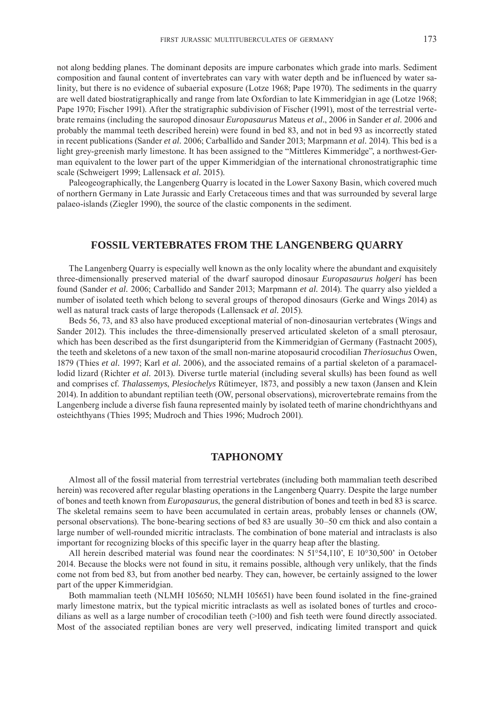not along bedding planes. The dominant deposits are impure carbonates which grade into marls. Sediment composition and faunal content of invertebrates can vary with water depth and be influenced by water salinity, but there is no evidence of subaerial exposure (Lotze 1968; Pape 1970). The sediments in the quarry are well dated biostratigraphically and range from late Oxfordian to late Kimmeridgian in age (Lotze 1968; Pape 1970; Fischer 1991). After the stratigraphic subdivision of Fischer (1991), most of the terrestrial vertebrate remains (including the sauropod dinosaur *Europasaurus* Mateus *et al.*, 2006 in Sander *et al.* 2006 and probably the mammal teeth described herein) were found in bed 83, and not in bed 93 as incorrectly stated in recent publications (Sander *et al.* 2006; Carballido and Sander 2013; Marpmann *et al.* 2014). This bed is a light grey-greenish marly limestone. It has been assigned to the "Mittleres Kimmeridge", a northwest-German equivalent to the lower part of the upper Kimmeridgian of the international chronostratigraphic time scale (Schweigert 1999; Lallensack *et al.* 2015).

Paleogeographically, the Langenberg Quarry is located in the Lower Saxony Basin, which covered much of northern Germany in Late Jurassic and Early Cretaceous times and that was surrounded by several large palaeo-islands (Ziegler 1990), the source of the clastic components in the sediment.

### **FOSSIL VERTEBRATES FROM THE LANGENBERG QUARRY**

The Langenberg Quarry is especially well known as the only locality where the abundant and exquisitely three-dimensionally preserved material of the dwarf sauropod dinosaur *Europasaurus holgeri* has been found (Sander *et al.* 2006; Carballido and Sander 2013; Marpmann *et al.* 2014). The quarry also yielded a number of isolated teeth which belong to several groups of theropod dinosaurs (Gerke and Wings 2014) as well as natural track casts of large theropods (Lallensack *et al.* 2015).

Beds 56, 73, and 83 also have produced exceptional material of non-dinosaurian vertebrates (Wings and Sander 2012). This includes the three-dimensionally preserved articulated skeleton of a small pterosaur, which has been described as the first dsungaripterid from the Kimmeridgian of Germany (Fastnacht 2005), the teeth and skeletons of a new taxon of the small non-marine atoposaurid crocodilian *Theriosuchus* Owen, 1879 (Thies *et al.* 1997; Karl *et al.* 2006), and the associated remains of a partial skeleton of a paramacellodid lizard (Richter *et al.* 2013). Diverse turtle material (including several skulls) has been found as well and comprises cf. *Thalassemys*, *Plesiochelys* Rütimeyer, 1873, and possibly a new taxon (Jansen and Klein 2014). In addition to abundant reptilian teeth (OW, personal observations), microvertebrate remains from the Langenberg include a diverse fish fauna represented mainly by isolated teeth of marine chondrichthyans and osteichthyans (Thies 1995; Mudroch and Thies 1996; Mudroch 2001).

### **TAPHONOMY**

Almost all of the fossil material from terrestrial vertebrates (including both mammalian teeth described herein) was recovered after regular blasting operations in the Langenberg Quarry. Despite the large number of bones and teeth known from *Europasaurus*, the general distribution of bones and teeth in bed 83 is scarce. The skeletal remains seem to have been accumulated in certain areas, probably lenses or channels (OW, personal observations). The bone-bearing sections of bed 83 are usually 30–50 cm thick and also contain a large number of well-rounded micritic intraclasts. The combination of bone material and intraclasts is also important for recognizing blocks of this specific layer in the quarry heap after the blasting.

All herein described material was found near the coordinates: N 51°54,110', E 10°30,500' in October 2014. Because the blocks were not found in situ, it remains possible, although very unlikely, that the finds come not from bed 83, but from another bed nearby. They can, however, be certainly assigned to the lower part of the upper Kimmeridgian.

Both mammalian teeth (NLMH 105650; NLMH 105651) have been found isolated in the fine-grained marly limestone matrix, but the typical micritic intraclasts as well as isolated bones of turtles and crocodilians as well as a large number of crocodilian teeth (>100) and fish teeth were found directly associated. Most of the associated reptilian bones are very well preserved, indicating limited transport and quick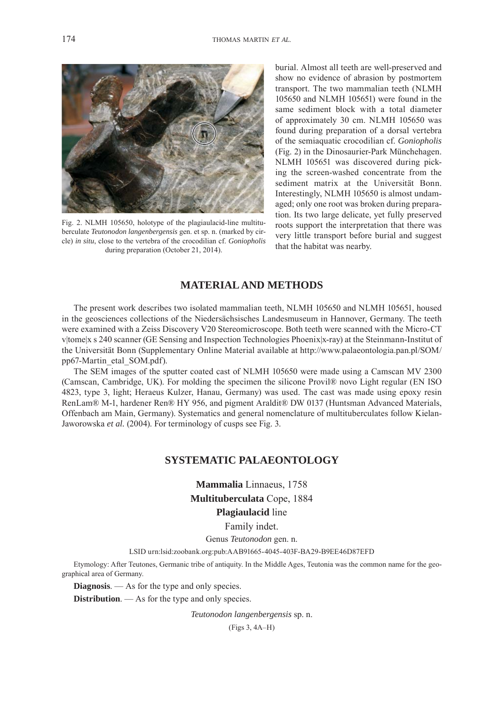

Fig. 2. NLMH 105650, holotype of the plagiaulacid-line multituberculate *Teutonodon langenbergensis* gen. et sp. n. (marked by circle) *in situ*, close to the vertebra of the crocodilian cf. *Goniopholis* during preparation (October 21, 2014).

burial. Almost all teeth are well-preserved and show no evidence of abrasion by postmortem transport. The two mammalian teeth (NLMH 105650 and NLMH 105651) were found in the same sediment block with a total diameter of approximately 30 cm. NLMH 105650 was found during preparation of a dorsal vertebra of the semiaquatic crocodilian cf. *Goniopholis* (Fig. 2) in the Dinosaurier-Park Münchehagen. NLMH 105651 was discovered during picking the screen-washed concentrate from the sediment matrix at the Universität Bonn. Interestingly, NLMH 105650 is almost undamaged; only one root was broken during preparation. Its two large delicate, yet fully preserved roots support the interpretation that there was very little transport before burial and suggest that the habitat was nearby.

## **MATERIAL AND METHODS**

The present work describes two isolated mammalian teeth, NLMH 105650 and NLMH 105651, housed in the geosciences collections of the Niedersächsisches Landesmuseum in Hannover, Germany. The teeth were examined with a Zeiss Discovery V20 Stereomicroscope. Both teeth were scanned with the Micro-CT v|tome|x s 240 scanner (GE Sensing and Inspection Technologies Phoenix|x-ray) at the Steinmann-Institut of [the Universität Bonn \(Supplementary Online Material available at http://www.palaeontologia.pan.pl/SOM/](http://www.palaeontologia.pan.pl/SOM/pp67-Martin_etal_SOM.pdf) pp67-Martin\_etal\_SOM.pdf).

The SEM images of the sputter coated cast of NLMH 105650 were made using a Camscan MV 2300 (Camscan, Cambridge, UK). For molding the specimen the silicone Provil® novo Light regular (EN ISO 4823, type 3, light; Heraeus Kulzer, Hanau, Germany) was used. The cast was made using epoxy resin RenLam® M-1, hardener Ren® HY 956, and pigment Araldit® DW 0137 (Huntsman Advanced Materials, Offenbach am Main, Germany). Systematics and general nomenclature of multituberculates follow Kielan-Jaworowska *et al.* (2004). For terminology of cusps see Fig. 3.

## **SYSTEMATIC PALAEONTOLOGY**

**Mammalia** Linnaeus, 1758 **Multituberculata** Cope, 1884 **Plagiaulacid** line

Family indet.

Genus *Teutonodon* gen. n.

LSID urn:lsid:zoobank.org:pub:AAB91665-4045-403F-BA29-B9EE46D87EFD

Etymology: After Teutones, Germanic tribe of antiquity. In the Middle Ages, Teutonia was the common name for the geographical area of Germany.

**Diagnosis**. — As for the type and only species.

**Distribution**. — As for the type and only species.

*Teutonodon langenbergensis* sp. n.

(Figs 3, 4A–H)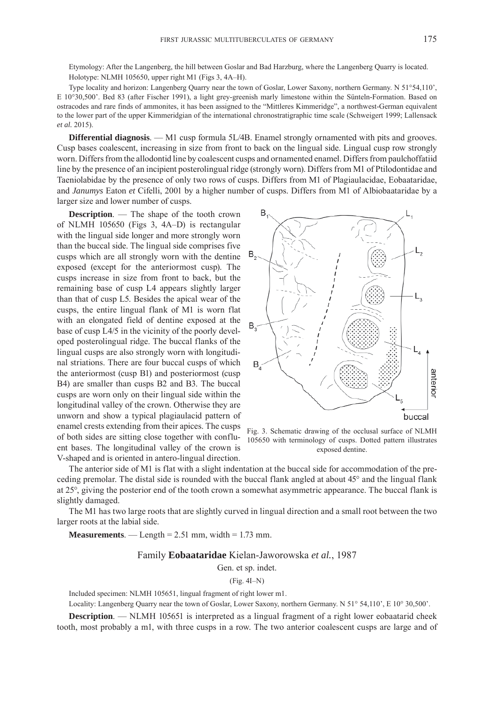Etymology: After the Langenberg, the hill between Goslar and Bad Harzburg, where the Langenberg Quarry is located. Holotype: NLMH 105650, upper right M1 (Figs 3, 4A–H).

Type locality and horizon: Langenberg Quarry near the town of Goslar, Lower Saxony, northern Germany. N 51°54,110', E 10°30,500'. Bed 83 (after Fischer 1991), a light grey-greenish marly limestone within the Sünteln-Formation. Based on ostracodes and rare finds of ammonites, it has been assigned to the "Mittleres Kimmeridge", a northwest-German equivalent to the lower part of the upper Kimmeridgian of the international chronostratigraphic time scale (Schweigert 1999; Lallensack *et al.* 2015).

**Differential diagnosis.** — M1 cusp formula 5L/4B. Enamel strongly ornamented with pits and grooves. Cusp bases coalescent, increasing in size from front to back on the lingual side. Lingual cusp row strongly worn. Differs from the allodontid line by coalescent cusps and ornamented enamel. Differs from paulchoffatiid line by the presence of an incipient posterolingual ridge (strongly worn). Differs from M1 of Ptilodontidae and Taeniolabidae by the presence of only two rows of cusps. Differs from M1 of Plagiaulacidae, Eobaataridae, and *Janumys* Eaton *et* Cifelli, 2001 by a higher number of cusps. Differs from M1 of Albiobaataridae by a larger size and lower number of cusps.

**Description**. — The shape of the tooth crown of NLMH 105650 (Figs 3, 4A–D) is rectangular with the lingual side longer and more strongly worn than the buccal side. The lingual side comprises five cusps which are all strongly worn with the dentine exposed (except for the anteriormost cusp). The cusps increase in size from front to back, but the remaining base of cusp L4 appears slightly larger than that of cusp L5. Besides the apical wear of the cusps, the entire lingual flank of M1 is worn flat with an elongated field of dentine exposed at the base of cusp L4/5 in the vicinity of the poorly developed posterolingual ridge. The buccal flanks of the lingual cusps are also strongly worn with longitudinal striations. There are four buccal cusps of which the anteriormost (cusp B1) and posteriormost (cusp B4) are smaller than cusps B2 and B3. The buccal cusps are worn only on their lingual side within the longitudinal valley of the crown. Otherwise they are unworn and show a typical plagiaulacid pattern of enamel crests extending from their apices. The cusps of both sides are sitting close together with confluent bases. The longitudinal valley of the crown is V-shaped and is oriented in antero-lingual direction.



Fig. 3. Schematic drawing of the occlusal surface of NLMH 105650 with terminology of cusps. Dotted pattern illustrates exposed dentine.

The anterior side of M1 is flat with a slight indentation at the buccal side for accommodation of the preceding premolar. The distal side is rounded with the buccal flank angled at about 45° and the lingual flank at 25°, giving the posterior end of the tooth crown a somewhat asymmetric appearance. The buccal flank is slightly damaged.

The M1 has two large roots that are slightly curved in lingual direction and a small root between the two larger roots at the labial side.

**Measurements**. — Length =  $2.51$  mm, width =  $1.73$  mm.

#### Family **Eobaataridae** Kielan-Jaworowska *et al.*, 1987

Gen. et sp. indet.

(Fig. 4I–N)

Included specimen: NLMH 105651, lingual fragment of right lower m1.

Locality: Langenberg Quarry near the town of Goslar, Lower Saxony, northern Germany. N 51° 54,110', E 10° 30,500'.

**Description**. — NLMH 105651 is interpreted as a lingual fragment of a right lower eobaatarid cheek tooth, most probably a m1, with three cusps in a row. The two anterior coalescent cusps are large and of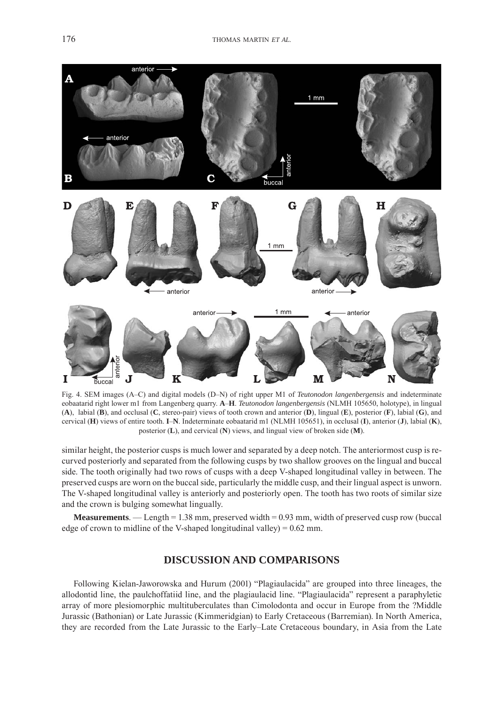

Fig. 4. SEM images (A–C) and digital models (D–N) of right upper M1 of *Teutonodon langenbergensis* and indeterminate eobaatarid right lower m1 from Langenberg quarry. **A**–**H**. *Teutonodon langenbergensis* (NLMH 105650, holotype), in lingual (**A**), labial (**B**), and occlusal (**C**, stereo-pair) views of tooth crown and anterior (**D**), lingual (**E**), posterior (**F**), labial (**G**), and cervical (**H**) views of entire tooth. **I**–**N**. Indeterminate eobaatarid m1 (NLMH 105651), in occlusal (**I**), anterior (**J**), labial (**K**), posterior (**L**), and cervical (**N**) views, and lingual view of broken side (**M**).

similar height, the posterior cusps is much lower and separated by a deep notch. The anteriormost cusp is recurved posteriorly and separated from the following cusps by two shallow grooves on the lingual and buccal side. The tooth originally had two rows of cusps with a deep V-shaped longitudinal valley in between. The preserved cusps are worn on the buccal side, particularly the middle cusp, and their lingual aspect is unworn. The V-shaped longitudinal valley is anteriorly and posteriorly open. The tooth has two roots of similar size and the crown is bulging somewhat lingually.

**Measurements**. — Length = 1.38 mm, preserved width = 0.93 mm, width of preserved cusp row (buccal edge of crown to midline of the V-shaped longitudinal valley) = 0.62 mm.

# **DISCUSSION AND COMPARISONS**

Following Kielan-Jaworowska and Hurum (2001) "Plagiaulacida" are grouped into three lineages, the allodontid line, the paulchoffatiid line, and the plagiaulacid line. "Plagiaulacida" represent a paraphyletic array of more plesiomorphic multituberculates than Cimolodonta and occur in Europe from the ?Middle Jurassic (Bathonian) or Late Jurassic (Kimmeridgian) to Early Cretaceous (Barremian). In North America, they are recorded from the Late Jurassic to the Early–Late Cretaceous boundary, in Asia from the Late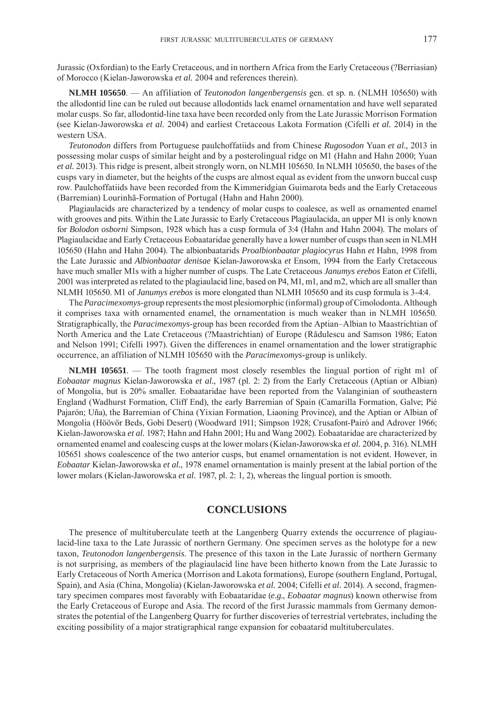Jurassic (Oxfordian) to the Early Cretaceous, and in northern Africa from the Early Cretaceous (?Berriasian) of Morocco (Kielan-Jaworowska *et al.* 2004 and references therein).

**NLMH 105650**. — An affiliation of *Teutonodon langenbergensis* gen. et sp. n. (NLMH 105650) with the allodontid line can be ruled out because allodontids lack enamel ornamentation and have well separated molar cusps. So far, allodontid-line taxa have been recorded only from the Late Jurassic Morrison Formation (see Kielan-Jaworowska *et al.* 2004) and earliest Cretaceous Lakota Formation (Cifelli *et al.* 2014) in the western USA.

*Teutonodon* differs from Portuguese paulchoffatiids and from Chinese *Rugosodon* Yuan *et al.*, 2013 in possessing molar cusps of similar height and by a posterolingual ridge on M1 (Hahn and Hahn 2000; Yuan *et al.* 2013). This ridge is present, albeit strongly worn, on NLMH 105650. In NLMH 105650, the bases of the cusps vary in diameter, but the heights of the cusps are almost equal as evident from the unworn buccal cusp row. Paulchoffatiids have been recorded from the Kimmeridgian Guimarota beds and the Early Cretaceous (Barremian) Lourinhã-Formation of Portugal (Hahn and Hahn 2000).

Plagiaulacids are characterized by a tendency of molar cusps to coalesce, as well as ornamented enamel with grooves and pits. Within the Late Jurassic to Early Cretaceous Plagiaulacida, an upper M1 is only known for *Bolodon osborni* Simpson, 1928 which has a cusp formula of 3:4 (Hahn and Hahn 2004). The molars of Plagiaulacidae and Early Cretaceous Eobaataridae generally have a lower number of cusps than seen in NLMH 105650 (Hahn and Hahn 2004). The albionbaatarids *Proalbionbaatar plagiocyrus* Hahn *et* Hahn, 1998 from the Late Jurassic and *Albionbaatar denisae* Kielan-Jaworowska *et* Ensom, 1994 from the Early Cretaceous have much smaller M1s with a higher number of cusps. The Late Cretaceous *Janumys erebos* Eaton *et* Cifelli, 2001 was interpreted as related to the plagiaulacid line, based on P4, M1, m1, and m2, which are all smaller than NLMH 105650. M1 of *Janumys erebos* is more elongated than NLMH 105650 and its cusp formula is 3-4:4.

The *Paracimexomys*-group represents the most plesiomorphic (informal) group of Cimolodonta. Although it comprises taxa with ornamented enamel, the ornamentation is much weaker than in NLMH 105650. Stratigraphically, the *Paracimexomys*-group has been recorded from the Aptian–Albian to Maastrichtian of North America and the Late Cretaceous (?Maastrichtian) of Europe (Rădulescu and Samson 1986; Eaton and Nelson 1991; Cifelli 1997). Given the differences in enamel ornamentation and the lower stratigraphic occurrence, an affiliation of NLMH 105650 with the *Paracimexomys*-group is unlikely.

**NLMH 105651**. — The tooth fragment most closely resembles the lingual portion of right m1 of *Eobaatar magnus* Kielan-Jaworowska *et al.*, 1987 (pl. 2: 2) from the Early Cretaceous (Aptian or Albian) of Mongolia, but is 20% smaller. Eobaataridae have been reported from the Valanginian of southeastern England (Wadhurst Formation, Cliff End), the early Barremian of Spain (Camarilla Formation, Galve; Pié Pajarón; Uña), the Barremian of China (Yixian Formation, Liaoning Province), and the Aptian or Albian of Mongolia (Höövör Beds, Gobi Desert) (Woodward 1911; Simpson 1928; Crusafont-Pairó and Adrover 1966; Kielan-Jaworowska *et al.* 1987; Hahn and Hahn 2001; Hu and Wang 2002). Eobaataridae are characterized by ornamented enamel and coalescing cusps at the lower molars (Kielan-Jaworowska *et al.* 2004, p. 316). NLMH 105651 shows coalescence of the two anterior cusps, but enamel ornamentation is not evident. However, in *Eobaatar* Kielan-Jaworowska *et al.*, 1978 enamel ornamentation is mainly present at the labial portion of the lower molars (Kielan-Jaworowska *et al.* 1987, pl. 2: 1, 2), whereas the lingual portion is smooth.

# **CONCLUSIONS**

The presence of multituberculate teeth at the Langenberg Quarry extends the occurrence of plagiaulacid-line taxa to the Late Jurassic of northern Germany. One specimen serves as the holotype for a new taxon, *Teutonodon langenbergensis*. The presence of this taxon in the Late Jurassic of northern Germany is not surprising, as members of the plagiaulacid line have been hitherto known from the Late Jurassic to Early Cretaceous of North America (Morrison and Lakota formations), Europe (southern England, Portugal, Spain), and Asia (China, Mongolia) (Kielan-Jaworowska *et al.* 2004; Cifelli *et al.* 2014). A second, fragmentary specimen compares most favorably with Eobaataridae (*e.g.*, *Eobaatar magnus*) known otherwise from the Early Cretaceous of Europe and Asia. The record of the first Jurassic mammals from Germany demonstrates the potential of the Langenberg Quarry for further discoveries of terrestrial vertebrates, including the exciting possibility of a major stratigraphical range expansion for eobaatarid multituberculates.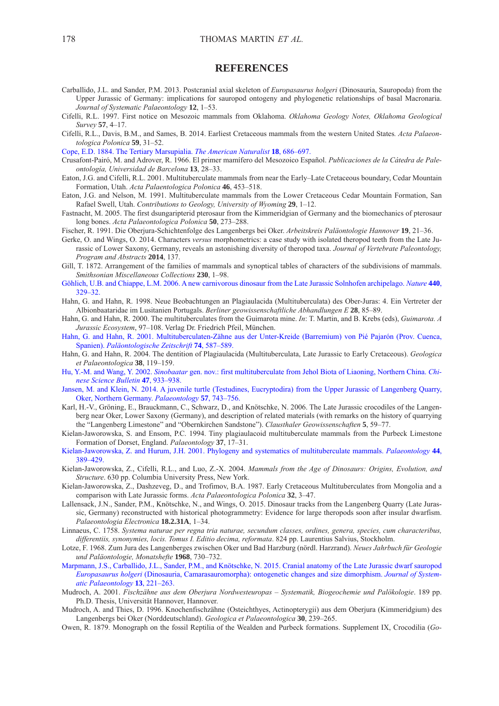#### **REFERENCES**

- Carballido, J.L. and Sander, P.M. 2013. Postcranial axial skeleton of *Europasaurus holgeri* (Dinosauria, Sauropoda) from the Upper Jurassic of Germany: implications for sauropod ontogeny and phylogenetic relationships of basal Macronaria. *Journal of Systematic Palaeontology* **12**, 1–53.
- Cifelli, R.L. 1997. First notice on Mesozoic mammals from Oklahoma. *Oklahoma Geology Notes, Oklahoma Geological Survey* **57**, 4–17.
- Cifelli, R.L., Davis, B.M., and Sames, B. 2014. Earliest Cretaceous mammals from the western United States*. Acta Palaeontologica Polonica* **59**, 31–52.

[Cope, E.D. 1884. The Tertiary Marsupialia.](http://dx.doi.org/10.1086/273711) *The American Naturalist* **18**, 686–697.

- Crusafont-Pairó, M. and Adrover, R. 1966. El primer mamífero del Mesozoico Español. *Publicaciones de la Cátedra de Paleontología, Universidad de Barcelona* **13**, 28–33.
- Eaton, J.G. and Cifelli, R.L. 2001. Multituberculate mammals from near the Early–Late Cretaceous boundary, Cedar Mountain Formation, Utah. *Acta Palaentologica Polonica* **46**, 453–518.
- Eaton, J.G. and Nelson, M. 1991. Multituberculate mammals from the Lower Cretaceous Cedar Mountain Formation, San Rafael Swell, Utah. *Contributions to Geology, University of Wyoming* **29**, 1–12.
- Fastnacht, M. 2005. The first dsungaripterid pterosaur from the Kimmeridgian of Germany and the biomechanics of pterosaur long bones. *Acta Palaeontologica Polonica* **50**, 273–288.
- Fischer, R. 1991. Die Oberjura-Schichtenfolge des Langenbergs bei Oker. *Arbeitskreis Paläontologie Hannover* **19**, 21–36.
- Gerke, O. and Wings, O. 2014. Characters *versus* morphometrics: a case study with isolated theropod teeth from the Late Jurassic of Lower Saxony, Germany, reveals an astonishing diversity of theropod taxa. *Journal of Vertebrate Paleontology, Program and Abstracts* **2014**, 137.
- Gill, T. 1872. Arrangement of the families of mammals and synoptical tables of characters of the subdivisions of mammals. *Smithsonian Miscellaneous Collections* **230**, 1–98.
- [Göhlich, U.B. and Chiappe, L.M. 2006. A new carnivorous dinosaur from the Late Jurassic Solnhofen archipelago.](http://dx.doi.org/10.1038/nature04579) *Nature* **440**, 329–32.
- Hahn, G. and Hahn, R. 1998. Neue Beobachtungen an Plagiaulacida (Multituberculata) des Ober-Juras: 4. Ein Vertreter der Albionbaataridae im Lusitanien Portugals. *Berliner geowissenschaftliche Abhandlungen E* **28**, 85–89.
- Hahn, G. and Hahn, R. 2000. The multituberculates from the Guimarota mine. *In*: T. Martin, and B. Krebs (eds), *Guimarota. A Jurassic Ecosystem*, 97–108. Verlag Dr. Friedrich Pfeil, München.
- [Hahn, G. and Hahn, R. 2001. Multituberculaten-Zähne aus der Unter-Kreide \(Barremium\) von Pié Pajarón \(Prov. Cuenca,](http://dx.doi.org/10.1007/BF02988165) Spanien). *Paläontologische Zeitschrift* **74**, 587–589.
- Hahn, G. and Hahn, R. 2004. The dentition of Plagiaulacida (Multituberculata, Late Jurassic to Early Cretaceous). *Geologica et Palaeontologica* **38**, 119–159.
- Hu, Y.-M. and Wang, Y. 2002. *Sinobaatar* [gen. nov.: first multituberculate from Jehol Biota of Liaoning, Northern China.](http://dx.doi.org/10.1360/02tb9209) *Chinese Science Bulletin* **47**, 933–938.
- [Jansen, M. and Klein, N. 2014. A juvenile turtle \(Testudines, Eucryptodira\) from the Upper Jurassic of Langenberg Quarry,](http://dx.doi.org/10.1111/pala.12085) Oker, Northern Germany. *Palaeontology* **57**, 743–756.
- Karl, H.-V., Gröning, E., Brauckmann, C., Schwarz, D., and Knötschke, N. 2006. The Late Jurassic crocodiles of the Langenberg near Oker, Lower Saxony (Germany), and description of related materials (with remarks on the history of quarrying the "Langenberg Limestone" and "Obernkirchen Sandstone"). *Clausthaler Geowissenschaften* **5**, 59–77.
- Kielan-Jaworowska, S. and Ensom, P.C. 1994. Tiny plagiaulacoid multituberculate mammals from the Purbeck Limestone Formation of Dorset, England. *Palaeontology* **37**, 17–31.
- [Kielan-Jaworowska, Z. and Hurum, J.H. 2001. Phylogeny and systematics of multituberculate mammals.](http://dx.doi.org/10.1111/1475-4983.00185) *Palaeontology* **44**, 389–429.
- Kielan-Jaworowska, Z., Cifelli, R.L., and Luo, Z.-X. 2004. *Mammals from the Age of Dinosaurs: Origins, Evolution, and Structure*. 630 pp. Columbia University Press, New York.
- Kielan-Jaworowska, Z., Dashzeveg, D., and Trofimov, B.A. 1987. Early Cretaceous Multituberculates from Mongolia and a comparison with Late Jurassic forms. *Acta Palaeontologica Polonica* **32**, 3–47.
- Lallensack, J.N., Sander, P.M., Knötschke, N., and Wings, O. 2015. Dinosaur tracks from the Langenberg Quarry (Late Jurassic, Germany) reconstructed with historical photogrammetry: Evidence for large theropods soon after insular dwarfism. *Palaeontologia Electronica* **18.2.31A**, 1–34.
- Linnaeus, C. 1758. *Systema naturae per regna tria naturae, secundum classes, ordines, genera, species, cum characteribus, differentiis, synonymies, locis. Tomus I. Editio decima, reformata*. 824 pp. Laurentius Salvius, Stockholm.
- Lotze, F. 1968. Zum Jura des Langenberges zwischen Oker und Bad Harzburg (nördl. Harzrand). *Neues Jahrbuch für Geologie und Paläontologie, Monatshefte* **1968**, 730–732.
- [Marpmann, J.S., Carballido, J.L., Sander, P.M., and Knötschke, N. 2015. Cranial anatomy of the Late Jurassic dwarf sauropod](http://dx.doi.org/10.1080/14772019.2013.875074) *Europasaurus holgeri* (Dinosauria, Camarasauromorpha): ontogenetic changes and size dimorphism. *Journal of Systematic Palaeontology* **13**, 221–263.
- Mudroch, A. 2001. *Fischzähne aus dem Oberjura Nordwesteuropas Systematik, Biogeochemie und Palökologie*. 189 pp. Ph.D. Thesis, Universität Hannover, Hannover.
- Mudroch, A. and Thies, D. 1996. Knochenfischzähne (Osteichthyes, Actinopterygii) aus dem Oberjura (Kimmeridgium) des Langenbergs bei Oker (Norddeutschland). *Geologica et Palaeontologica* **30**, 239–265.
- Owen, R. 1879. Monograph on the fossil Reptilia of the Wealden and Purbeck formations. Supplement IX, Crocodilia (*Go-*